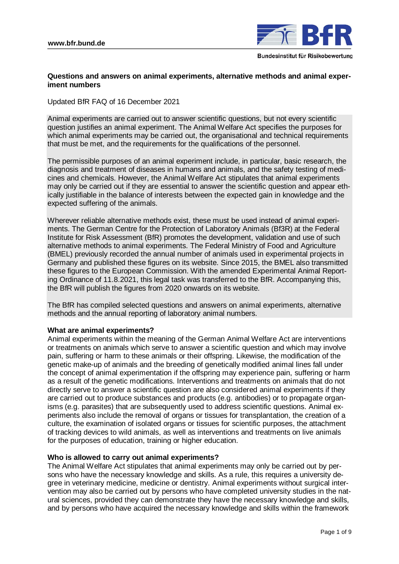

# **Questions and answers on animal experiments, alternative methods and animal experiment numbers**

Updated BfR FAQ of 16 December 2021

Animal experiments are carried out to answer scientific questions, but not every scientific question justifies an animal experiment. The Animal Welfare Act specifies the purposes for which animal experiments may be carried out, the organisational and technical requirements that must be met, and the requirements for the qualifications of the personnel.

The permissible purposes of an animal experiment include, in particular, basic research, the diagnosis and treatment of diseases in humans and animals, and the safety testing of medicines and chemicals. However, the Animal Welfare Act stipulates that animal experiments may only be carried out if they are essential to answer the scientific question and appear ethically justifiable in the balance of interests between the expected gain in knowledge and the expected suffering of the animals.

Wherever reliable alternative methods exist, these must be used instead of animal experiments. The German Centre for the Protection of Laboratory Animals (Bf3R) at the Federal Institute for Risk Assessment (BfR) promotes the development, validation and use of such alternative methods to animal experiments. The Federal Ministry of Food and Agriculture (BMEL) previously recorded the annual number of animals used in experimental projects in Germany and published these figures on its website. Since 2015, the BMEL also transmitted these figures to the European Commission. With the amended Experimental Animal Reporting Ordinance of 11.8.2021, this legal task was transferred to the BfR. Accompanying this, the BfR will publish the figures from 2020 onwards on its website.

The BfR has compiled selected questions and answers on animal experiments, alternative methods and the annual reporting of laboratory animal numbers.

## **What are animal experiments?**

Animal experiments within the meaning of the German Animal Welfare Act are interventions or treatments on animals which serve to answer a scientific question and which may involve pain, suffering or harm to these animals or their offspring. Likewise, the modification of the genetic make-up of animals and the breeding of genetically modified animal lines fall under the concept of animal experimentation if the offspring may experience pain, suffering or harm as a result of the genetic modifications. Interventions and treatments on animals that do not directly serve to answer a scientific question are also considered animal experiments if they are carried out to produce substances and products (e.g. antibodies) or to propagate organisms (e.g. parasites) that are subsequently used to address scientific questions. Animal experiments also include the removal of organs or tissues for transplantation, the creation of a culture, the examination of isolated organs or tissues for scientific purposes, the attachment of tracking devices to wild animals, as well as interventions and treatments on live animals for the purposes of education, training or higher education.

## **Who is allowed to carry out animal experiments?**

The Animal Welfare Act stipulates that animal experiments may only be carried out by persons who have the necessary knowledge and skills. As a rule, this requires a university degree in veterinary medicine, medicine or dentistry. Animal experiments without surgical intervention may also be carried out by persons who have completed university studies in the natural sciences, provided they can demonstrate they have the necessary knowledge and skills, and by persons who have acquired the necessary knowledge and skills within the framework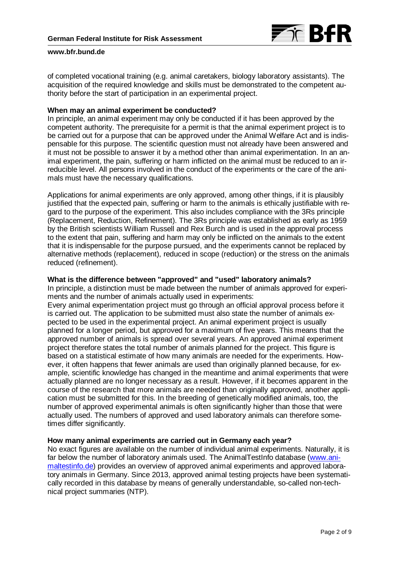

of completed vocational training (e.g. animal caretakers, biology laboratory assistants). The acquisition of the required knowledge and skills must be demonstrated to the competent authority before the start of participation in an experimental project.

#### **When may an animal experiment be conducted?**

In principle, an animal experiment may only be conducted if it has been approved by the competent authority. The prerequisite for a permit is that the animal experiment project is to be carried out for a purpose that can be approved under the Animal Welfare Act and is indispensable for this purpose. The scientific question must not already have been answered and it must not be possible to answer it by a method other than animal experimentation. In an animal experiment, the pain, suffering or harm inflicted on the animal must be reduced to an irreducible level. All persons involved in the conduct of the experiments or the care of the animals must have the necessary qualifications.

Applications for animal experiments are only approved, among other things, if it is plausibly justified that the expected pain, suffering or harm to the animals is ethically justifiable with regard to the purpose of the experiment. This also includes compliance with the 3Rs principle (Replacement, Reduction, Refinement). The 3Rs principle was established as early as 1959 by the British scientists William Russell and Rex Burch and is used in the approval process to the extent that pain, suffering and harm may only be inflicted on the animals to the extent that it is indispensable for the purpose pursued, and the experiments cannot be replaced by alternative methods (replacement), reduced in scope (reduction) or the stress on the animals reduced (refinement).

#### **What is the difference between "approved" and "used" laboratory animals?**

In principle, a distinction must be made between the number of animals approved for experiments and the number of animals actually used in experiments:

Every animal experimentation project must go through an official approval process before it is carried out. The application to be submitted must also state the number of animals expected to be used in the experimental project. An animal experiment project is usually planned for a longer period, but approved for a maximum of five years. This means that the approved number of animals is spread over several years. An approved animal experiment project therefore states the total number of animals planned for the project. This figure is based on a statistical estimate of how many animals are needed for the experiments. However, it often happens that fewer animals are used than originally planned because, for example, scientific knowledge has changed in the meantime and animal experiments that were actually planned are no longer necessary as a result. However, if it becomes apparent in the course of the research that more animals are needed than originally approved, another application must be submitted for this. In the breeding of genetically modified animals, too, the number of approved experimental animals is often significantly higher than those that were actually used. The numbers of approved and used laboratory animals can therefore sometimes differ significantly.

# **How many animal experiments are carried out in Germany each year?**

No exact figures are available on the number of individual animal experiments. Naturally, it is far below the number of laboratory animals used. The AnimalTestInfo database [\(www.ani](http://www.animaltestinfo.de/)[maltestinfo.de\)](http://www.animaltestinfo.de/) provides an overview of approved animal experiments and approved laboratory animals in Germany. Since 2013, approved animal testing projects have been systematically recorded in this database by means of generally understandable, so-called non-technical project summaries (NTP).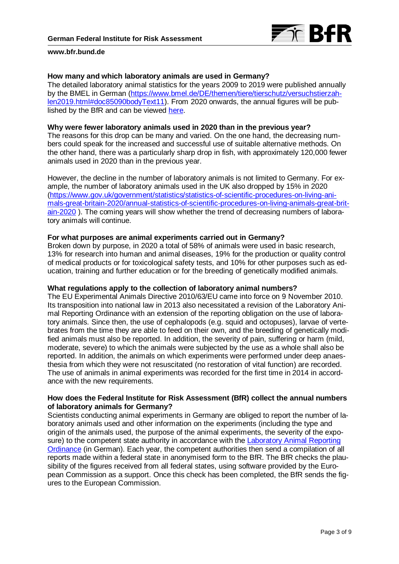

## **How many and which laboratory animals are used in Germany?**

The detailed laboratory animal statistics for the years 2009 to 2019 were published annually by the BMEL in German [\(https://www.bmel.de/DE/themen/tiere/tierschutz/versuchstierzah](https://www.bmel.de/DE/themen/tiere/tierschutz/versuchstierzahlen2019.html#doc85090bodyText11)[len2019.html#doc85090bodyText11\)](https://www.bmel.de/DE/themen/tiere/tierschutz/versuchstierzahlen2019.html#doc85090bodyText11). From 2020 onwards, the annual figures will be published by the BfR and can be viewed [here.](https://www.bf3r.de/en/use_of_laboratory_animals_in_2020-291690.html)

#### **Why were fewer laboratory animals used in 2020 than in the previous year?**

The reasons for this drop can be many and varied. On the one hand, the decreasing numbers could speak for the increased and successful use of suitable alternative methods. On the other hand, there was a particularly sharp drop in fish, with approximately 120,000 fewer animals used in 2020 than in the previous year.

However, the decline in the number of laboratory animals is not limited to Germany. For example, the number of laboratory animals used in the UK also dropped by 15% in 2020 [\(https://www.gov.uk/government/statistics/statistics-of-scientific-procedures-on-living-ani](https://www.gov.uk/government/statistics/statistics-of-scientific-procedures-on-living-animals-great-britain-2020/annual-statistics-of-scientific-procedures-on-living-animals-great-britain-2020)[mals-great-britain-2020/annual-statistics-of-scientific-procedures-on-living-animals-great-brit](https://www.gov.uk/government/statistics/statistics-of-scientific-procedures-on-living-animals-great-britain-2020/annual-statistics-of-scientific-procedures-on-living-animals-great-britain-2020)[ain-2020](https://www.gov.uk/government/statistics/statistics-of-scientific-procedures-on-living-animals-great-britain-2020/annual-statistics-of-scientific-procedures-on-living-animals-great-britain-2020) ). The coming years will show whether the trend of decreasing numbers of laboratory animals will continue.

#### **For what purposes are animal experiments carried out in Germany?**

Broken down by purpose, in 2020 a total of 58% of animals were used in basic research, 13% for research into human and animal diseases, 19% for the production or quality control of medical products or for toxicological safety tests, and 10% for other purposes such as education, training and further education or for the breeding of genetically modified animals.

#### **What regulations apply to the collection of laboratory animal numbers?**

The EU Experimental Animals Directive 2010/63/EU came into force on 9 November 2010. Its transposition into national law in 2013 also necessitated a revision of the Laboratory Animal Reporting Ordinance with an extension of the reporting obligation on the use of laboratory animals. Since then, the use of cephalopods (e.g. squid and octopuses), larvae of vertebrates from the time they are able to feed on their own, and the breeding of genetically modified animals must also be reported. In addition, the severity of pain, suffering or harm (mild, moderate, severe) to which the animals were subjected by the use as a whole shall also be reported. In addition, the animals on which experiments were performed under deep anaesthesia from which they were not resuscitated (no restoration of vital function) are recorded. The use of animals in animal experiments was recorded for the first time in 2014 in accordance with the new requirements.

## **How does the Federal Institute for Risk Assessment (BfR) collect the annual numbers of laboratory animals for Germany?**

Scientists conducting animal experiments in Germany are obliged to report the number of laboratory animals used and other information on the experiments (including the type and origin of the animals used, the purpose of the animal experiments, the severity of the exposure) to the competent state authority in accordance with the Laboratory Animal Reporting [Ordinance](http://www.gesetze-im-internet.de/verstiermeldv_2013/) (in German). Each year, the competent authorities then send a compilation of all reports made within a federal state in anonymised form to the BfR. The BfR checks the plausibility of the figures received from all federal states, using software provided by the European Commission as a support. Once this check has been completed, the BfR sends the figures to the European Commission.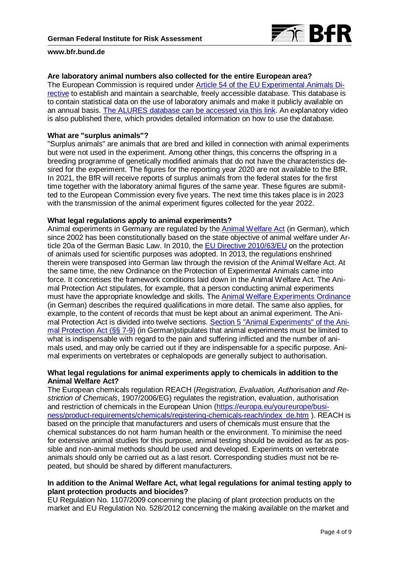

## **Are laboratory animal numbers also collected for the entire European area?**

The European Commission is required under [Article 54 of the EU Experimental Animals Di](https://eur-lex.europa.eu/LexUriServ/LexUriServ.do?uri=OJ:L:2010:276:0033:0079:de:PDF)[rective](https://eur-lex.europa.eu/LexUriServ/LexUriServ.do?uri=OJ:L:2010:276:0033:0079:de:PDF) to establish and maintain a searchable, freely accessible database. This database is to contain statistical data on the use of laboratory animals and make it publicly available on an annual basis. [The ALURES database can be accessed via this link.](https://ec.europa.eu/environment/chemicals/lab_animals/alures_en.htm?etrans=de) An explanatory video is also published there, which provides detailed information on how to use the database.

### **What are "surplus animals"?**

"Surplus animals" are animals that are bred and killed in connection with animal experiments but were not used in the experiment. Among other things, this concerns the offspring in a breeding programme of genetically modified animals that do not have the characteristics desired for the experiment. The figures for the reporting year 2020 are not available to the BfR. In 2021, the BfR will receive reports of surplus animals from the federal states for the first time together with the laboratory animal figures of the same year. These figures are submitted to the European Commission every five years. The next time this takes place is in 2023 with the transmission of the animal experiment figures collected for the year 2022.

#### **What legal regulations apply to animal experiments?**

Animal experiments in Germany are regulated by the [Animal Welfare Act](https://www.gesetze-im-internet.de/tierschg/BJNR012770972.html) (in German), which since 2002 has been constitutionally based on the state objective of animal welfare under Article 20a of the German Basic Law. In 2010, th[e EU Directive 2010/63/EU](https://eur-lex.europa.eu/LexUriServ/LexUriServ.do?uri=OJ:L:2010:276:0033:0079:de:PDF) on the protection of animals used for scientific purposes was adopted. In 2013, the regulations enshrined therein were transposed into German law through the revision of the Animal Welfare Act. At the same time, the new Ordinance on the Protection of Experimental Animals came into force. It concretises the framework conditions laid down in the Animal Welfare Act. The Animal Protection Act stipulates, for example, that a person conducting animal experiments must have the appropriate knowledge and skills. The [Animal Welfare Experiments Ordinance](https://www.gesetze-im-internet.de/tierschversv/BJNR312600013.html) (in German) describes the required qualifications in more detail. The same also applies, for example, to the content of records that must be kept about an animal experiment. The Ani-mal Protection Act is divided into twelve sections. [Section 5 "Animal Experiments" of the Ani](https://www.gesetze-im-internet.de/tierschg/BJNR012770972.html)[mal Protection Act \(§§ 7-9\)](https://www.gesetze-im-internet.de/tierschg/BJNR012770972.html) (in German)stipulates that animal experiments must be limited to what is indispensable with regard to the pain and suffering inflicted and the number of animals used, and may only be carried out if they are indispensable for a specific purpose. Animal experiments on vertebrates or cephalopods are generally subject to authorisation.

# **What legal regulations for animal experiments apply to chemicals in addition to the Animal Welfare Act?**

The European chemicals regulation REACH (*Registration, Evaluation, Authorisation and Restriction of Chemicals*, 1907/2006/EG) regulates the registration, evaluation, authorisation and restriction of chemicals in the European Union [\(https://europa.eu/youreurope/busi](https://europa.eu/youreurope/business/product-requirements/chemicals/registering-chemicals-reach/index_de.htm)[ness/product-requirements/chemicals/registering-chemicals-reach/index\\_de.htm](https://europa.eu/youreurope/business/product-requirements/chemicals/registering-chemicals-reach/index_de.htm) ). REACH is based on the principle that manufacturers and users of chemicals must ensure that the chemical substances do not harm human health or the environment. To minimise the need for extensive animal studies for this purpose, animal testing should be avoided as far as possible and non-animal methods should be used and developed. Experiments on vertebrate animals should only be carried out as a last resort. Corresponding studies must not be repeated, but should be shared by different manufacturers.

## **In addition to the Animal Welfare Act, what legal regulations for animal testing apply to plant protection products and biocides?**

EU Regulation No. 1107/2009 concerning the placing of plant protection products on the market and EU Regulation No. 528/2012 concerning the making available on the market and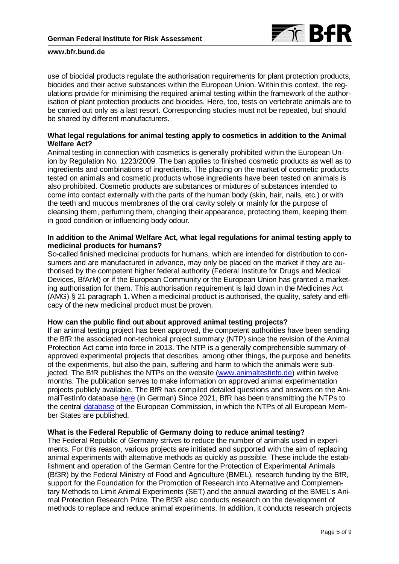

use of biocidal products regulate the authorisation requirements for plant protection products, biocides and their active substances within the European Union. Within this context, the regulations provide for minimising the required animal testing within the framework of the authorisation of plant protection products and biocides. Here, too, tests on vertebrate animals are to be carried out only as a last resort. Corresponding studies must not be repeated, but should be shared by different manufacturers.

# **What legal regulations for animal testing apply to cosmetics in addition to the Animal Welfare Act?**

Animal testing in connection with cosmetics is generally prohibited within the European Union by Regulation No. 1223/2009. The ban applies to finished cosmetic products as well as to ingredients and combinations of ingredients. The placing on the market of cosmetic products tested on animals and cosmetic products whose ingredients have been tested on animals is also prohibited. Cosmetic products are substances or mixtures of substances intended to come into contact externally with the parts of the human body (skin, hair, nails, etc.) or with the teeth and mucous membranes of the oral cavity solely or mainly for the purpose of cleansing them, perfuming them, changing their appearance, protecting them, keeping them in good condition or influencing body odour.

## **In addition to the Animal Welfare Act, what legal regulations for animal testing apply to medicinal products for humans?**

So-called finished medicinal products for humans, which are intended for distribution to consumers and are manufactured in advance, may only be placed on the market if they are authorised by the competent higher federal authority (Federal Institute for Drugs and Medical Devices, BfArM) or if the European Community or the European Union has granted a marketing authorisation for them. This authorisation requirement is laid down in the Medicines Act (AMG) § 21 paragraph 1. When a medicinal product is authorised, the quality, safety and efficacy of the new medicinal product must be proven.

#### **How can the public find out about approved animal testing projects?**

If an animal testing project has been approved, the competent authorities have been sending the BfR the associated non-technical project summary (NTP) since the revision of the Animal Protection Act came into force in 2013. The NTP is a generally comprehensible summary of approved experimental projects that describes, among other things, the purpose and benefits of the experiments, but also the pain, suffering and harm to which the animals were subjected. The BfR publishes the NTPs on the website [\(www.animaltestinfo.de\)](http://www.animaltestinfo.de/) within twelve months. The publication serves to make information on approved animal experimentation projects publicly available. The BfR has compiled detailed questions and answers on the AnimalTestInfo database [here](https://www.animaltestinfo.de/faq.cfm?CFID=29876634&CFTOKEN=6ac9b6742b84812e-9C6FE4EE-C03B-C760-5CC689D4BACAF9DB) (in German) Since 2021, BfR has been transmitting the NTPs to the central [database](https://webgate.ec.europa.eu/envdataportal/web/resources/alures/submission/nts/list) of the European Commission, in which the NTPs of all European Member States are published.

#### **What is the Federal Republic of Germany doing to reduce animal testing?**

The Federal Republic of Germany strives to reduce the number of animals used in experiments. For this reason, various projects are initiated and supported with the aim of replacing animal experiments with alternative methods as quickly as possible. These include the establishment and operation of the German Centre for the Protection of Experimental Animals (Bf3R) by the Federal Ministry of Food and Agriculture (BMEL), research funding by the BfR, support for the Foundation for the Promotion of Research into Alternative and Complementary Methods to Limit Animal Experiments (SET) and the annual awarding of the BMEL's Animal Protection Research Prize. The Bf3R also conducts research on the development of methods to replace and reduce animal experiments. In addition, it conducts research projects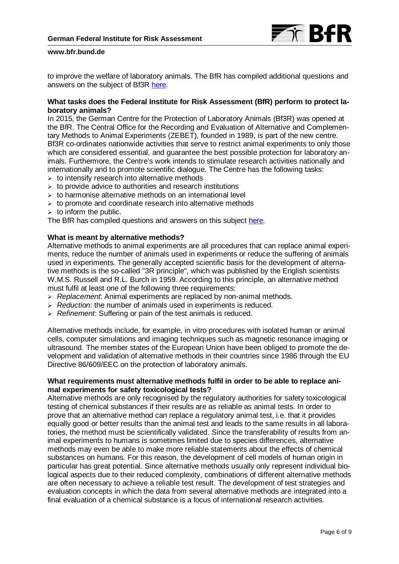

to improve the welfare of laboratory animals. The BfR has compiled additional questions and answers on the subject of Bf3R [here.](https://www.bfr.bund.de/en/questions_and_answers_on_the_german_centre_for_the_protection_of_laboratory_animals__bf3r_-197048.html)

### **What tasks does the Federal Institute for Risk Assessment (BfR) perform to protect laboratory animals?**

In 2015, the German Centre for the Protection of Laboratory Animals (Bf3R) was opened at the BfR. The Central Office for the Recording and Evaluation of Alternative and Complementary Methods to Animal Experiments (ZEBET), founded in 1989, is part of the new centre. Bf3R co-ordinates nationwide activities that serve to restrict animal experiments to only those which are considered essential, and guarantee the best possible protection for laboratory animals. Furthermore, the Centre's work intends to stimulate research activities nationally and internationally and to promote scientific dialogue. The Centre has the following tasks:

- $\triangleright$  to intensify research into alternative methods
- $\triangleright$  to provide advice to authorities and research institutions
- $\triangleright$  to harmonise alternative methods on an international level
- $\triangleright$  to promote and coordinate research into alternative methods
- $\geq$  to inform the public.

The BfR has compiled questions and answers on this subject [here.](https://www.bfr.bund.de/en/questions_and_answers_on_the_german_centre_for_the_protection_of_laboratory_animals__bf3r_-197048.html)

## **What is meant by alternative methods?**

Alternative methods to animal experiments are all procedures that can replace animal experiments, reduce the number of animals used in experiments or reduce the suffering of animals used in experiments. The generally accepted scientific basis for the development of alternative methods is the so-called "3R principle", which was published by the English scientists W.M.S. Russell and R.L. Burch in 1959. According to this principle, an alternative method must fulfil at least one of the following three requirements:

- *Replacement*: Animal experiments are replaced by non-animal methods.
- *Reduction*: the number of animals used in experiments is reduced.
- *Refinement*: Suffering or pain of the test animals is reduced.

Alternative methods include, for example, in vitro procedures with isolated human or animal cells, computer simulations and imaging techniques such as magnetic resonance imaging or ultrasound. The member states of the European Union have been obliged to promote the development and validation of alternative methods in their countries since 1986 through the EU Directive 86/609/EEC on the protection of laboratory animals.

## **What requirements must alternative methods fulfil in order to be able to replace animal experiments for safety toxicological tests?**

Alternative methods are only recognised by the regulatory authorities for safety toxicological testing of chemical substances if their results are as reliable as animal tests. In order to prove that an alternative method can replace a regulatory animal test, i.e. that it provides equally good or better results than the animal test and leads to the same results in all laboratories, the method must be scientifically validated. Since the transferability of results from animal experiments to humans is sometimes limited due to species differences, alternative methods may even be able to make more reliable statements about the effects of chemical substances on humans. For this reason, the development of cell models of human origin in particular has great potential. Since alternative methods usually only represent individual biological aspects due to their reduced complexity, combinations of different alternative methods are often necessary to achieve a reliable test result. The development of test strategies and evaluation concepts in which the data from several alternative methods are integrated into a final evaluation of a chemical substance is a focus of international research activities.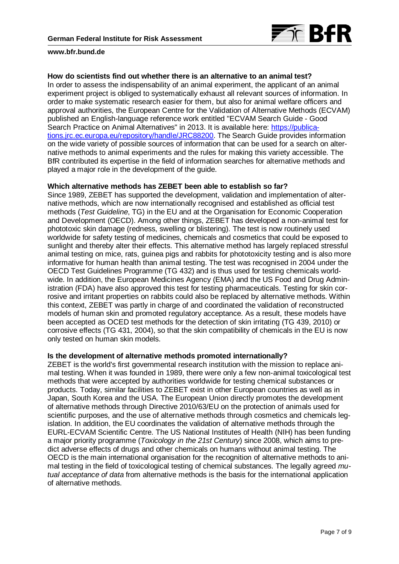

#### **How do scientists find out whether there is an alternative to an animal test?**

In order to assess the indispensability of an animal experiment, the applicant of an animal experiment project is obliged to systematically exhaust all relevant sources of information. In order to make systematic research easier for them, but also for animal welfare officers and approval authorities, the European Centre for the Validation of Alternative Methods (ECVAM) published an English-language reference work entitled "ECVAM Search Guide - Good Search Practice on Animal Alternatives" in 2013. [It is available here:](https://ec.europa.eu/jrc/en/publication/books/eurl-ecvam-search-guide-good-search-practice-animal-alternatives) [https://publica](https://publications.jrc.ec.europa.eu/repository/handle/JRC88200)[tions.jrc.ec.europa.eu/repository/handle/JRC88200.](https://publications.jrc.ec.europa.eu/repository/handle/JRC88200) The Search Guide provides information on the wide variety of possible sources of information that can be used for a search on alternative methods to animal experiments and the rules for making this variety accessible. The BfR contributed its expertise in the field of information searches for alternative methods and played a major role in the development of the guide.

#### **Which alternative methods has ZEBET been able to establish so far?**

Since 1989, ZEBET has supported the development, validation and implementation of alternative methods, which are now internationally recognised and established as official test methods (*Test Guideline*, TG) in the EU and at the Organisation for Economic Cooperation and Development (OECD). Among other things, ZEBET has developed a non-animal test for phototoxic skin damage (redness, swelling or blistering). The test is now routinely used worldwide for safety testing of medicines, chemicals and cosmetics that could be exposed to sunlight and thereby alter their effects. This alternative method has largely replaced stressful animal testing on mice, rats, guinea pigs and rabbits for phototoxicity testing and is also more informative for human health than animal testing. The test was recognised in 2004 under the OECD Test Guidelines Programme (TG 432) and is thus used for testing chemicals worldwide. In addition, the European Medicines Agency (EMA) and the US Food and Drug Administration (FDA) have also approved this test for testing pharmaceuticals. Testing for skin corrosive and irritant properties on rabbits could also be replaced by alternative methods. Within this context, ZEBET was partly in charge of and coordinated the validation of reconstructed models of human skin and promoted regulatory acceptance. As a result, these models have been accepted as OCED test methods for the detection of skin irritating (TG 439, 2010) or corrosive effects (TG 431, 2004), so that the skin compatibility of chemicals in the EU is now only tested on human skin models.

# **Is the development of alternative methods promoted internationally?**

ZEBET is the world's first governmental research institution with the mission to replace animal testing. When it was founded in 1989, there were only a few non-animal toxicological test methods that were accepted by authorities worldwide for testing chemical substances or products. Today, similar facilities to ZEBET exist in other European countries as well as in Japan, South Korea and the USA. The European Union directly promotes the development of alternative methods through Directive 2010/63/EU on the protection of animals used for scientific purposes, and the use of alternative methods through cosmetics and chemicals legislation. In addition, the EU coordinates the validation of alternative methods through the EURL-ECVAM Scientific Centre. The US National Institutes of Health (NIH) has been funding a major priority programme (*Toxicology in the 21st Century*) since 2008, which aims to predict adverse effects of drugs and other chemicals on humans without animal testing. The OECD is the main international organisation for the recognition of alternative methods to animal testing in the field of toxicological testing of chemical substances. The legally agreed *mutual acceptance of data* from alternative methods is the basis for the international application of alternative methods.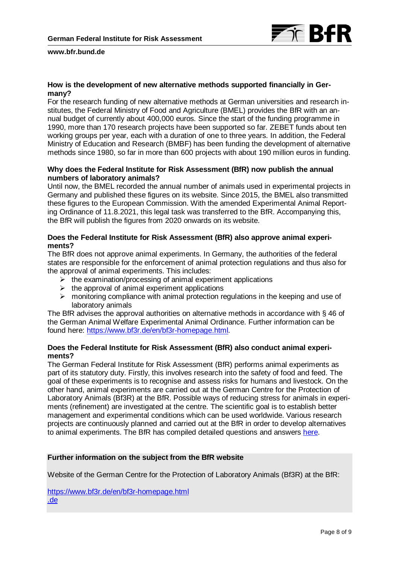

# **How is the development of new alternative methods supported financially in Germany?**

For the research funding of new alternative methods at German universities and research institutes, the Federal Ministry of Food and Agriculture (BMEL) provides the BfR with an annual budget of currently about 400,000 euros. Since the start of the funding programme in 1990, more than 170 research projects have been supported so far. ZEBET funds about ten working groups per year, each with a duration of one to three years. In addition, the Federal Ministry of Education and Research (BMBF) has been funding the development of alternative methods since 1980, so far in more than 600 projects with about 190 million euros in funding.

## **Why does the Federal Institute for Risk Assessment (BfR) now publish the annual numbers of laboratory animals?**

Until now, the BMEL recorded the annual number of animals used in experimental projects in Germany and published these figures on its website. Since 2015, the BMEL also transmitted these figures to the European Commission. With the amended Experimental Animal Reporting Ordinance of 11.8.2021, this legal task was transferred to the BfR. Accompanying this, the BfR will publish the figures from 2020 onwards on its website.

# **Does the Federal Institute for Risk Assessment (BfR) also approve animal experiments?**

The BfR does not approve animal experiments. In Germany, the authorities of the federal states are responsible for the enforcement of animal protection regulations and thus also for the approval of animal experiments. This includes:

- $\triangleright$  the examination/processing of animal experiment applications
- $\triangleright$  the approval of animal experiment applications
- $\triangleright$  monitoring compliance with animal protection regulations in the keeping and use of laboratory animals

The BfR advises the approval authorities on alternative methods in accordance with § 46 of the German Animal Welfare Experimental Animal Ordinance. [Further information can be](http://www.bf3r.de/de/nationaler_ausschuss_zum_schutz_von_fuer_wissenschaftliche_zwecke_verwendete_tiere-277074.html)  [found here:](http://www.bf3r.de/de/nationaler_ausschuss_zum_schutz_von_fuer_wissenschaftliche_zwecke_verwendete_tiere-277074.html) [https://www.bf3r.de/en/bf3r-homepage.html.](https://www.bf3r.de/en/bf3r-homepage.html)

# **Does the Federal Institute for Risk Assessment (BfR) also conduct animal experiments?**

The German Federal Institute for Risk Assessment (BfR) performs animal experiments as part of its statutory duty. Firstly, this involves research into the safety of food and feed. The goal of these experiments is to recognise and assess risks for humans and livestock. On the other hand, animal experiments are carried out at the German Centre for the Protection of Laboratory Animals (Bf3R) at the BfR. Possible ways of reducing stress for animals in experiments (refinement) are investigated at the centre. The scientific goal is to establish better management and experimental conditions which can be used worldwide. Various research projects are continuously planned and carried out at the BfR in order to develop alternatives to animal experiments. The BfR has compiled detailed questions and answers [here.](https://www.bfr.bund.de/en/questions_and_answers_on_animal_experiments_at_the_german_federal_institute_for_risk_assessment__bfr_-245080.html)

## **Further information on the subject from the BfR website**

Website of the German Centre for the Protection of Laboratory Animals (Bf3R) at the BfR:

<https://www.bf3r.de/en/bf3r-homepage.html> .de